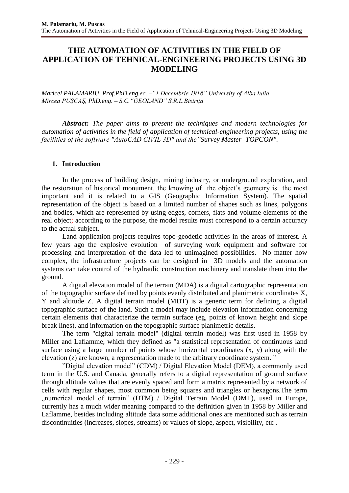# **THE AUTOMATION OF ACTIVITIES IN THE FIELD OF APPLICATION OF TEHNICAL-ENGINEERING PROJECTS USING 3D MODELING**

*Maricel PALAMARIU, Prof.PhD.eng.ec. –"1 Decembrie 1918" University of Alba Iulia Mircea PUŞCAŞ, PhD.eng. – S.C."GEOLAND" S.R.L.Bistriţa*

*Abstract: The paper aims to present the techniques and modern technologies for automation of activities in the field of application of technical-engineering projects, using the facilities of the software "AutoCAD CIVIL 3D" and the"Survey Master -TOPCON".*

## **1. Introduction**

In the process of building design, mining industry, or underground exploration, and the restoration of historical monument, the knowing of the object's geometry is the most important and it is related to a GIS (Geographic Information System). The spatial representation of the object is based on a limited number of shapes such as lines, polygons and bodies, which are represented by using edges, corners, flats and volume elements of the real object; according to the purpose, the model results must correspond to a certain accuracy to the actual subject.

Land application projects requires topo-geodetic activities in the areas of interest. A few years ago the explosive evolution of surveying work equipment and software for processing and interpretation of the data led to unimagined possibilities. No matter how complex, the infrastructure projects can be designed in 3D models and the automation systems can take control of the hydraulic construction machinery and translate them into the ground.

A digital elevation model of the terrain (MDA) is a digital cartographic representation of the topographic surface defined by points evenly distributed and planimetric coordinates X, Y and altitude Z. A digital terrain model (MDT) is a generic term for defining a digital topographic surface of the land. Such a model may include elevation information concerning certain elements that characterize the terrain surface (eg, points of known height and slope break lines), and information on the topographic surface planimetric details.

The term "digital terrain model" (digital terrain model) was first used in 1958 by Miller and Laflamme, which they defined as "a statistical representation of continuous land surface using a large number of points whose horizontal coordinates (x, y) along with the elevation (z) are known, a representation made to the arbitrary coordinate system. "

"Digital elevation model" (CDM) / Digital Elevation Model (DEM), a commonly used term in the U.S. and Canada, generally refers to a digital representation of ground surface through altitude values that are evenly spaced and form a matrix represented by a network of cells with regular shapes, most common being squares and triangles or hexagons.The term ", numerical model of terrain" (DTM) / Digital Terrain Model (DMT), used in Europe, currently has a much wider meaning compared to the definition given in 1958 by Miller and Laflamme, besides including altitude data some additional ones are mentioned such as terrain discontinuities (increases, slopes, streams) or values of slope, aspect, visibility, etc .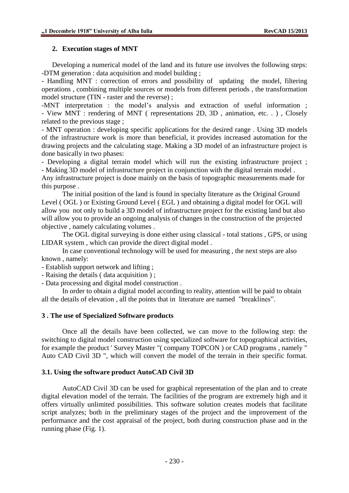## **2. Execution stages of MNT**

Developing a numerical model of the land and its future use involves the following steps: -DTM generation : data acquisition and model building ;

- Handling MNT : correction of errors and possibility of updating the model, filtering operations , combining multiple sources or models from different periods , the transformation model structure (TIN - raster and the reverse) ;

-MNT interpretation : the model's analysis and extraction of useful information ; - View MNT : rendering of MNT ( representations 2D, 3D , animation, etc. . ) , Closely related to the previous stage ;

- MNT operation : developing specific applications for the desired range . Using 3D models of the infrastructure work is more than beneficial, it provides increased automation for the drawing projects and the calculating stage. Making a 3D model of an infrastructure project is done basically in two phases:

- Developing a digital terrain model which will run the existing infrastructure project ; - Making 3D model of infrastructure project in conjunction with the digital terrain model .

Any infrastructure project is done mainly on the basis of topographic measurements made for this purpose .

The initial position of the land is found in specialty literature as the Original Ground Level ( OGL ) or Existing Ground Level ( EGL ) and obtaining a digital model for OGL will allow you not only to build a 3D model of infrastructure project for the existing land but also will allow you to provide an ongoing analysis of changes in the construction of the projected objective , namely calculating volumes .

The OGL digital surveying is done either using classical - total stations , GPS, or using LIDAR system , which can provide the direct digital model .

In case conventional technology will be used for measuring , the next steps are also known , namely:

- Establish support network and lifting ;

- Raising the details ( data acquisition ) ;

- Data processing and digital model construction .

In order to obtain a digital model according to reality, attention will be paid to obtain all the details of elevation , all the points that in literature are named "breaklines".

#### **3 . The use of Specialized Software products**

Once all the details have been collected, we can move to the following step: the switching to digital model construction using specialized software for topographical activities, for example the product ' Survey Master "( company TOPCON ) or CAD programs , namely " Auto CAD Civil 3D ", which will convert the model of the terrain in their specific format.

#### **3.1. Using the software product AutoCAD Civil 3D**

AutoCAD Civil 3D can be used for graphical representation of the plan and to create digital elevation model of the terrain. The facilities of the program are extremely high and it offers virtually unlimited possibilities. This software solution creates models that facilitate script analyzes; both in the preliminary stages of the project and the improvement of the performance and the cost appraisal of the project, both during construction phase and in the running phase (Fig. 1).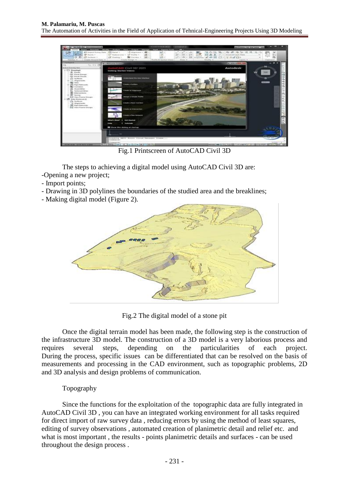

Fig.1 Printscreen of AutoCAD Civil 3D

The steps to achieving a digital model using AutoCAD Civil 3D are: -Opening a new project;

- Import points;
- Drawing in 3D polylines the boundaries of the studied area and the breaklines;
- Making digital model (Figure 2).



Fig.2 The digital model of a stone pit

Once the digital terrain model has been made, the following step is the construction of the infrastructure 3D model. The construction of a 3D model is a very laborious process and requires several steps, depending on the particularities of each project. During the process, specific issues can be differentiated that can be resolved on the basis of measurements and processing in the CAD environment, such as topographic problems, 2D and 3D analysis and design problems of communication.

# Topography

Since the functions for the exploitation of the topographic data are fully integrated in AutoCAD Civil 3D , you can have an integrated working environment for all tasks required for direct import of raw survey data , reducing errors by using the method of least squares, editing of survey observations , automated creation of planimetric detail and relief etc. and what is most important , the results - points planimetric details and surfaces - can be used throughout the design process .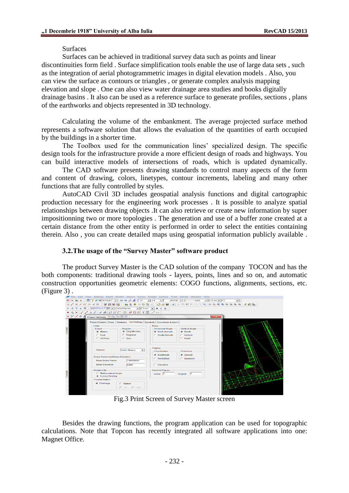#### Surfaces

Surfaces can be achieved in traditional survey data such as points and linear discontinuities form field . Surface simplification tools enable the use of large data sets , such as the integration of aerial photogrammetric images in digital elevation models . Also, you can view the surface as contours or triangles , or generate complex analysis mapping elevation and slope . One can also view water drainage area studies and books digitally drainage basins . It also can be used as a reference surface to generate profiles, sections , plans of the earthworks and objects represented in 3D technology.

Calculating the volume of the embankment. The average projected surface method represents a software solution that allows the evaluation of the quantities of earth occupied by the buildings in a shorter time.

The Toolbox used for the communication lines' specialized design. The specific design tools for the infrastructure provide a more efficient design of roads and highways. You can build interactive models of intersections of roads, which is updated dynamically.

The CAD software presents drawing standards to control many aspects of the form and content of drawing, colors, linetypes, contour increments, labeling and many other functions that are fully controlled by styles.

AutoCAD Civil 3D includes geospatial analysis functions and digital cartographic production necessary for the engineering work processes . It is possible to analyze spatial relationships between drawing objects .It can also retrieve or create new information by super impositionning two or more topologies . The generation and use of a buffer zone created at a certain distance from the other entity is performed in order to select the entities containing therein. Also , you can create detailed maps using geospatial information publicly available .

## **3.2.The usage of the "Survey Master" software product**

The product Survey Master is the CAD solution of the company TOCON and has the both components: traditional drawing tools - layers, points, lines and so on, and automatic construction opportunities geometric elements: COGO functions, alignments, sections, etc.



Fig.3 Print Screen of Survey Master screen

Besides the drawing functions, the program application can be used for topographic calculations. Note that Topcon has recently integrated all software applications into one: Magnet Office.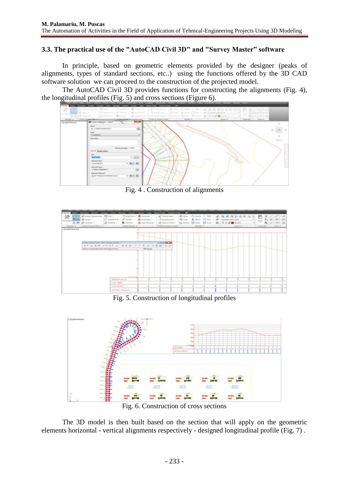## **3.3. The practical use of the "AutoCAD Civil 3D" and "Survey Master" software**

In principle, based on geometric elements provided by the designer (peaks of alignments, types of standard sections, etc..) using the functions offered by the 3D CAD software solution we can proceed to the construction of the projected model.

The AutoCAD Civil 3D provides functions for constructing the alignments (Fig. 4), the longitudinal profiles (Fig. 5) and cross sections (Figure 6).



Fig. 4 . Construction of alignments



Fig. 5. Construction of longitudinal profiles



Fig. 6. Construction of cross sections

The 3D model is then built based on the section that will apply on the geometric elements horizontal - vertical alignments respectively - designed longitudinal profile (Fig. 7) .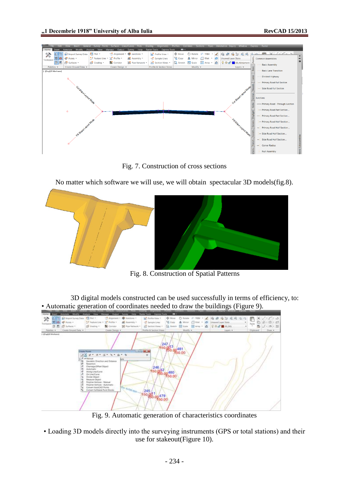

Fig. 7. Construction of cross sections

No matter which software we will use, we will obtain spectacular 3D models(fig.8).



Fig. 8. Construction of Spatial Patterns

3D digital models constructed can be used successfully in terms of efficiency, to: • Automatic generation of coordinates needed to draw the buildings (Figure 9).



Fig. 9. Automatic generation of characteristics coordinates

• Loading 3D models directly into the surveying instruments (GPS or total stations) and their use for stakeout(Figure 10).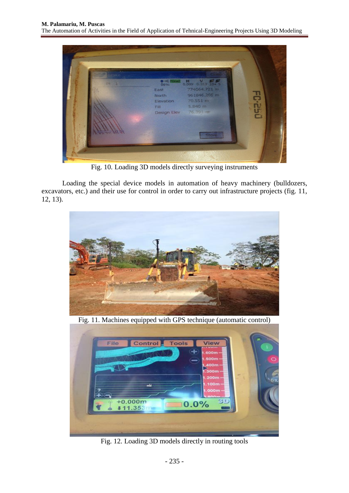

Fig. 10. Loading 3D models directly surveying instruments

Loading the special device models in automation of heavy machinery (bulldozers, excavators, etc.) and their use for control in order to carry out infrastructure projects (fig. 11, 12, 13).



Fig. 11. Machines equipped with GPS technique (automatic control)



Fig. 12. Loading 3D models directly in routing tools